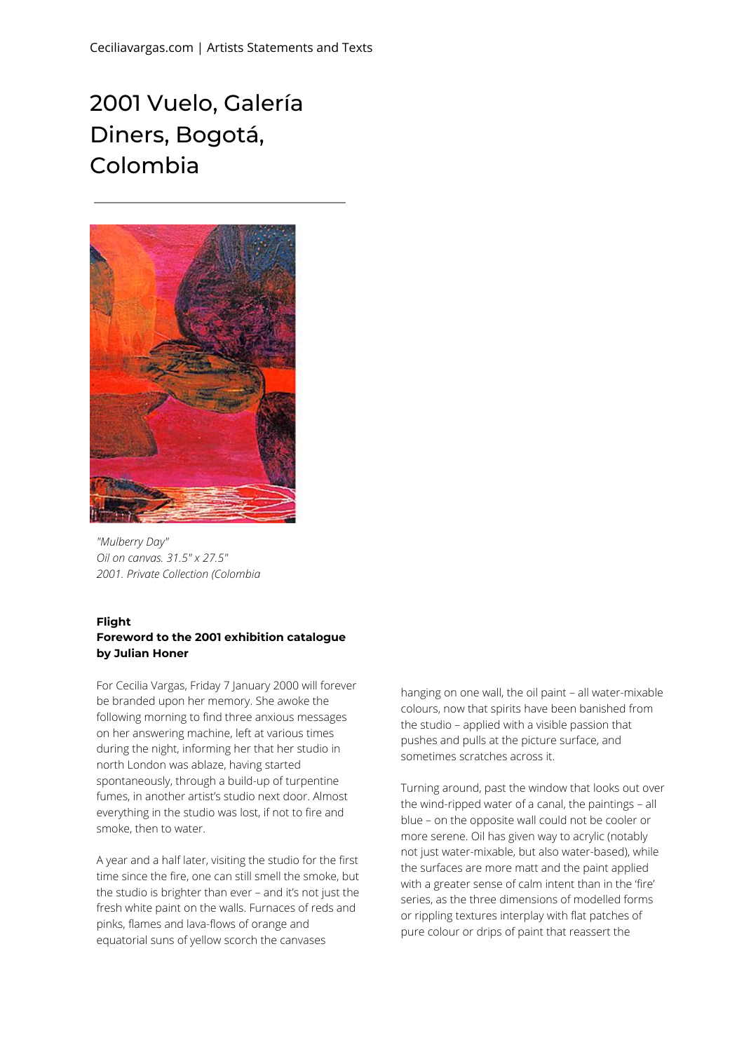## 2001 Vuelo, Galería Diners, Bogotá, Colombia



*"Mulberry Day" Oil on canvas. 31.5" x 27.5" 2001. Private Collection (Colombia*

## **Flight**

## **Foreword to the 2001 exhibition catalogue by Julian Honer**

For Cecilia Vargas, Friday 7 January 2000 will forever be branded upon her memory. She awoke the following morning to find three anxious messages on her answering machine, left at various times during the night, informing her that her studio in north London was ablaze, having started spontaneously, through a build-up of turpentine fumes, in another artist's studio next door. Almost everything in the studio was lost, if not to fire and smoke, then to water.

A year and a half later, visiting the studio for the first time since the fire, one can still smell the smoke, but the studio is brighter than ever – and it's not just the fresh white paint on the walls. Furnaces of reds and pinks, flames and lava-flows of orange and equatorial suns of yellow scorch the canvases

hanging on one wall, the oil paint – all water-mixable colours, now that spirits have been banished from the studio – applied with a visible passion that pushes and pulls at the picture surface, and sometimes scratches across it.

Turning around, past the window that looks out over the wind-ripped water of a canal, the paintings – all blue – on the opposite wall could not be cooler or more serene. Oil has given way to acrylic (notably not just water-mixable, but also water-based), while the surfaces are more matt and the paint applied with a greater sense of calm intent than in the 'fire' series, as the three dimensions of modelled forms or rippling textures interplay with flat patches of pure colour or drips of paint that reassert the